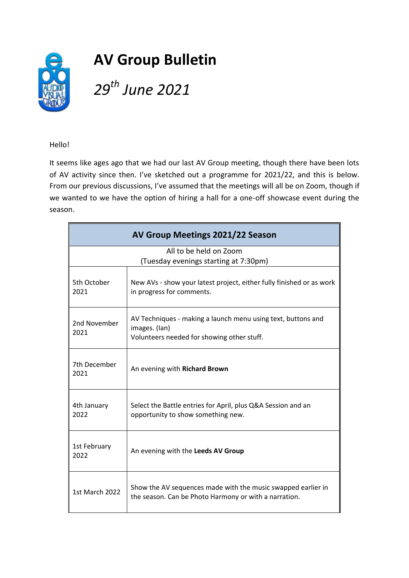

Hello!

It seems like ages ago that we had our last AV Group meeting, though there have been lots of AV activity since then. I've sketched out a programme for 2021/22, and this is below. From our previous discussions, I've assumed that the meetings will all be on Zoom, though if we wanted to we have the option of hiring a hall for a one-off showcase event during the season.

| AV Group Meetings 2021/22 Season                                |                                                                                                                             |  |
|-----------------------------------------------------------------|-----------------------------------------------------------------------------------------------------------------------------|--|
| All to be held on Zoom<br>(Tuesday evenings starting at 7:30pm) |                                                                                                                             |  |
| 5th October<br>2021                                             | New AVs - show your latest project, either fully finished or as work<br>in progress for comments.                           |  |
| 2nd November<br>2021                                            | AV Techniques - making a launch menu using text, buttons and<br>images. (lan)<br>Volunteers needed for showing other stuff. |  |
| 7th December<br>2021                                            | An evening with Richard Brown                                                                                               |  |
| 4th January<br>2022                                             | Select the Battle entries for April, plus Q&A Session and an<br>opportunity to show something new.                          |  |
| 1st February<br>2022                                            | An evening with the Leeds AV Group                                                                                          |  |
| 1st March 2022                                                  | Show the AV sequences made with the music swapped earlier in<br>the season. Can be Photo Harmony or with a narration.       |  |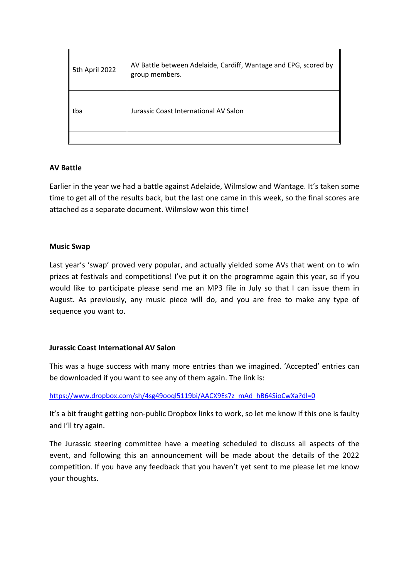| 5th April 2022 | AV Battle between Adelaide, Cardiff, Wantage and EPG, scored by<br>group members. |
|----------------|-----------------------------------------------------------------------------------|
| tba            | Jurassic Coast International AV Salon                                             |
|                |                                                                                   |

# **AV Battle**

Earlier in the year we had a battle against Adelaide, Wilmslow and Wantage. It's taken some time to get all of the results back, but the last one came in this week, so the final scores are attached as a separate document. Wilmslow won this time!

## **Music Swap**

Last year's 'swap' proved very popular, and actually yielded some AVs that went on to win prizes at festivals and competitions! I've put it on the programme again this year, so if you would like to participate please send me an MP3 file in July so that I can issue them in August. As previously, any music piece will do, and you are free to make any type of sequence you want to.

# **Jurassic Coast International AV Salon**

This was a huge success with many more entries than we imagined. 'Accepted' entries can be downloaded if you want to see any of them again. The link is:

## [https://www.dropbox.com/sh/4sg49ooql5119bi/AACX9Es7z\\_mAd\\_hB64SioCwXa?dl=0](https://www.dropbox.com/sh/4sg49ooql5119bi/AACX9Es7z_mAd_hB64SioCwXa?dl=0)

It's a bit fraught getting non-public Dropbox links to work, so let me know if this one is faulty and I'll try again.

The Jurassic steering committee have a meeting scheduled to discuss all aspects of the event, and following this an announcement will be made about the details of the 2022 competition. If you have any feedback that you haven't yet sent to me please let me know your thoughts.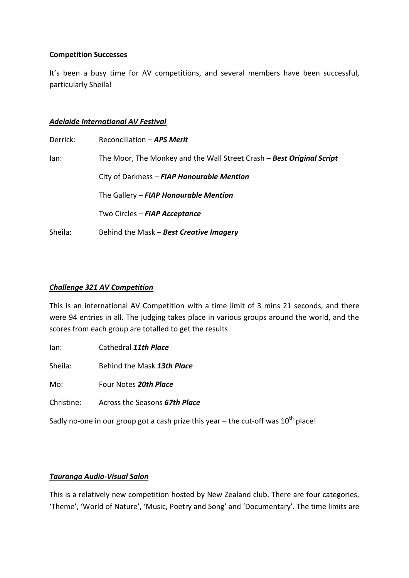### **Competition Successes**

It's been a busy time for AV competitions, and several members have been successful, particularly Sheila!

#### *Adelaide International AV Festival*

| Derrick: | Reconciliation - APS Merit                                            |
|----------|-----------------------------------------------------------------------|
| lan:     | The Moor, The Monkey and the Wall Street Crash - Best Original Script |
|          | City of Darkness - FIAP Honourable Mention                            |
|          | The Gallery - FIAP Honourable Mention                                 |
|          | Two Circles - FIAP Acceptance                                         |
| Sheila:  | Behind the Mask - Best Creative Imagery                               |

### *Challenge 321 AV Competition*

This is an international AV Competition with a time limit of 3 mins 21 seconds, and there were 94 entries in all. The judging takes place in various groups around the world, and the scores from each group are totalled to get the results

Ian: Cathedral *11th Place*

Sheila: Behind the Mask *13th Place*

Mo: Four Notes *20th Place*

Christine: Across the Seasons *67th Place*

Sadly no-one in our group got a cash prize this year – the cut-off was  $10<sup>th</sup>$  place!

#### *Tauranga Audio-Visual Salon*

This is a relatively new competition hosted by New Zealand club. There are four categories, 'Theme', 'World of Nature', 'Music, Poetry and Song' and 'Documentary'. The time limits are